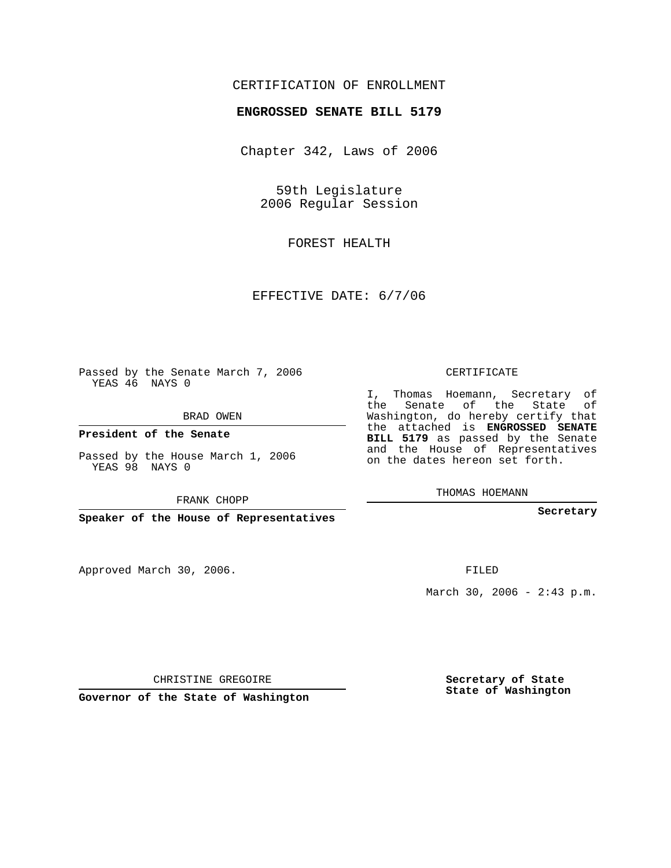## CERTIFICATION OF ENROLLMENT

## **ENGROSSED SENATE BILL 5179**

Chapter 342, Laws of 2006

59th Legislature 2006 Regular Session

FOREST HEALTH

EFFECTIVE DATE: 6/7/06

Passed by the Senate March 7, 2006 YEAS 46 NAYS 0

BRAD OWEN

**President of the Senate**

Passed by the House March 1, 2006 YEAS 98 NAYS 0

FRANK CHOPP

**Speaker of the House of Representatives**

Approved March 30, 2006.

CERTIFICATE

I, Thomas Hoemann, Secretary of the Senate of the State of Washington, do hereby certify that the attached is **ENGROSSED SENATE BILL 5179** as passed by the Senate and the House of Representatives on the dates hereon set forth.

THOMAS HOEMANN

**Secretary**

FILED

March 30, 2006 -  $2:43$  p.m.

CHRISTINE GREGOIRE

**Governor of the State of Washington**

**Secretary of State State of Washington**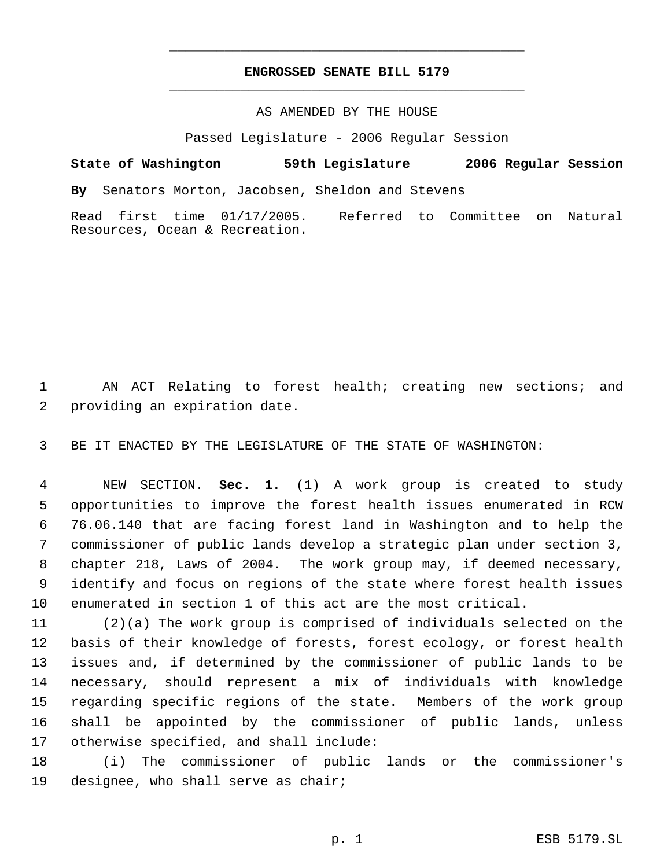## **ENGROSSED SENATE BILL 5179** \_\_\_\_\_\_\_\_\_\_\_\_\_\_\_\_\_\_\_\_\_\_\_\_\_\_\_\_\_\_\_\_\_\_\_\_\_\_\_\_\_\_\_\_\_

\_\_\_\_\_\_\_\_\_\_\_\_\_\_\_\_\_\_\_\_\_\_\_\_\_\_\_\_\_\_\_\_\_\_\_\_\_\_\_\_\_\_\_\_\_

## AS AMENDED BY THE HOUSE

Passed Legislature - 2006 Regular Session

**State of Washington 59th Legislature 2006 Regular Session By** Senators Morton, Jacobsen, Sheldon and Stevens Read first time 01/17/2005. Referred to Committee on Natural Resources, Ocean & Recreation.

 AN ACT Relating to forest health; creating new sections; and providing an expiration date.

BE IT ENACTED BY THE LEGISLATURE OF THE STATE OF WASHINGTON:

 NEW SECTION. **Sec. 1.** (1) A work group is created to study opportunities to improve the forest health issues enumerated in RCW 76.06.140 that are facing forest land in Washington and to help the commissioner of public lands develop a strategic plan under section 3, chapter 218, Laws of 2004. The work group may, if deemed necessary, identify and focus on regions of the state where forest health issues enumerated in section 1 of this act are the most critical.

 (2)(a) The work group is comprised of individuals selected on the basis of their knowledge of forests, forest ecology, or forest health issues and, if determined by the commissioner of public lands to be necessary, should represent a mix of individuals with knowledge regarding specific regions of the state. Members of the work group shall be appointed by the commissioner of public lands, unless otherwise specified, and shall include:

 (i) The commissioner of public lands or the commissioner's designee, who shall serve as chair;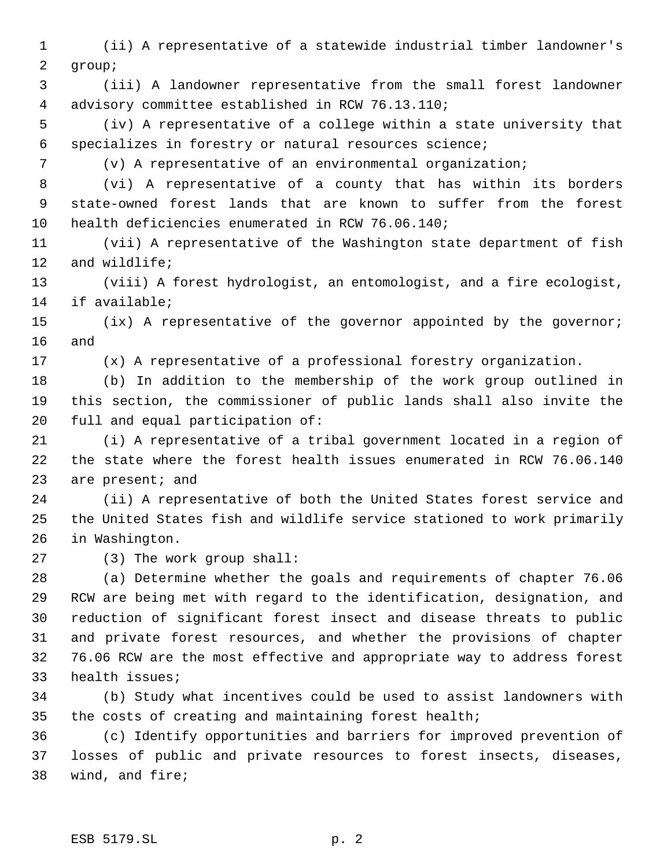(ii) A representative of a statewide industrial timber landowner's group;

 (iii) A landowner representative from the small forest landowner advisory committee established in RCW 76.13.110;

 (iv) A representative of a college within a state university that specializes in forestry or natural resources science;

(v) A representative of an environmental organization;

 (vi) A representative of a county that has within its borders state-owned forest lands that are known to suffer from the forest health deficiencies enumerated in RCW 76.06.140;

 (vii) A representative of the Washington state department of fish and wildlife;

 (viii) A forest hydrologist, an entomologist, and a fire ecologist, if available;

 (ix) A representative of the governor appointed by the governor; and

(x) A representative of a professional forestry organization.

 (b) In addition to the membership of the work group outlined in this section, the commissioner of public lands shall also invite the full and equal participation of:

 (i) A representative of a tribal government located in a region of the state where the forest health issues enumerated in RCW 76.06.140 23 are present; and

 (ii) A representative of both the United States forest service and the United States fish and wildlife service stationed to work primarily in Washington.

(3) The work group shall:

 (a) Determine whether the goals and requirements of chapter 76.06 RCW are being met with regard to the identification, designation, and reduction of significant forest insect and disease threats to public and private forest resources, and whether the provisions of chapter 76.06 RCW are the most effective and appropriate way to address forest health issues;

 (b) Study what incentives could be used to assist landowners with the costs of creating and maintaining forest health;

 (c) Identify opportunities and barriers for improved prevention of losses of public and private resources to forest insects, diseases, wind, and fire;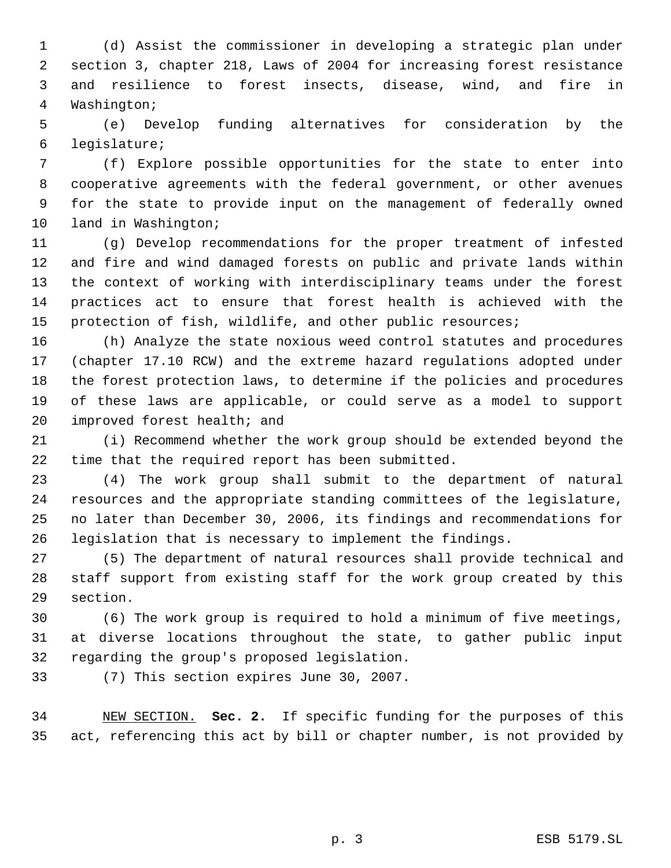(d) Assist the commissioner in developing a strategic plan under section 3, chapter 218, Laws of 2004 for increasing forest resistance and resilience to forest insects, disease, wind, and fire in Washington;

 (e) Develop funding alternatives for consideration by the legislature;

 (f) Explore possible opportunities for the state to enter into cooperative agreements with the federal government, or other avenues for the state to provide input on the management of federally owned land in Washington;

 (g) Develop recommendations for the proper treatment of infested and fire and wind damaged forests on public and private lands within the context of working with interdisciplinary teams under the forest practices act to ensure that forest health is achieved with the 15 protection of fish, wildlife, and other public resources;

 (h) Analyze the state noxious weed control statutes and procedures (chapter 17.10 RCW) and the extreme hazard regulations adopted under the forest protection laws, to determine if the policies and procedures of these laws are applicable, or could serve as a model to support improved forest health; and

 (i) Recommend whether the work group should be extended beyond the time that the required report has been submitted.

 (4) The work group shall submit to the department of natural resources and the appropriate standing committees of the legislature, no later than December 30, 2006, its findings and recommendations for legislation that is necessary to implement the findings.

 (5) The department of natural resources shall provide technical and staff support from existing staff for the work group created by this section.

 (6) The work group is required to hold a minimum of five meetings, at diverse locations throughout the state, to gather public input regarding the group's proposed legislation.

(7) This section expires June 30, 2007.

 NEW SECTION. **Sec. 2.** If specific funding for the purposes of this act, referencing this act by bill or chapter number, is not provided by